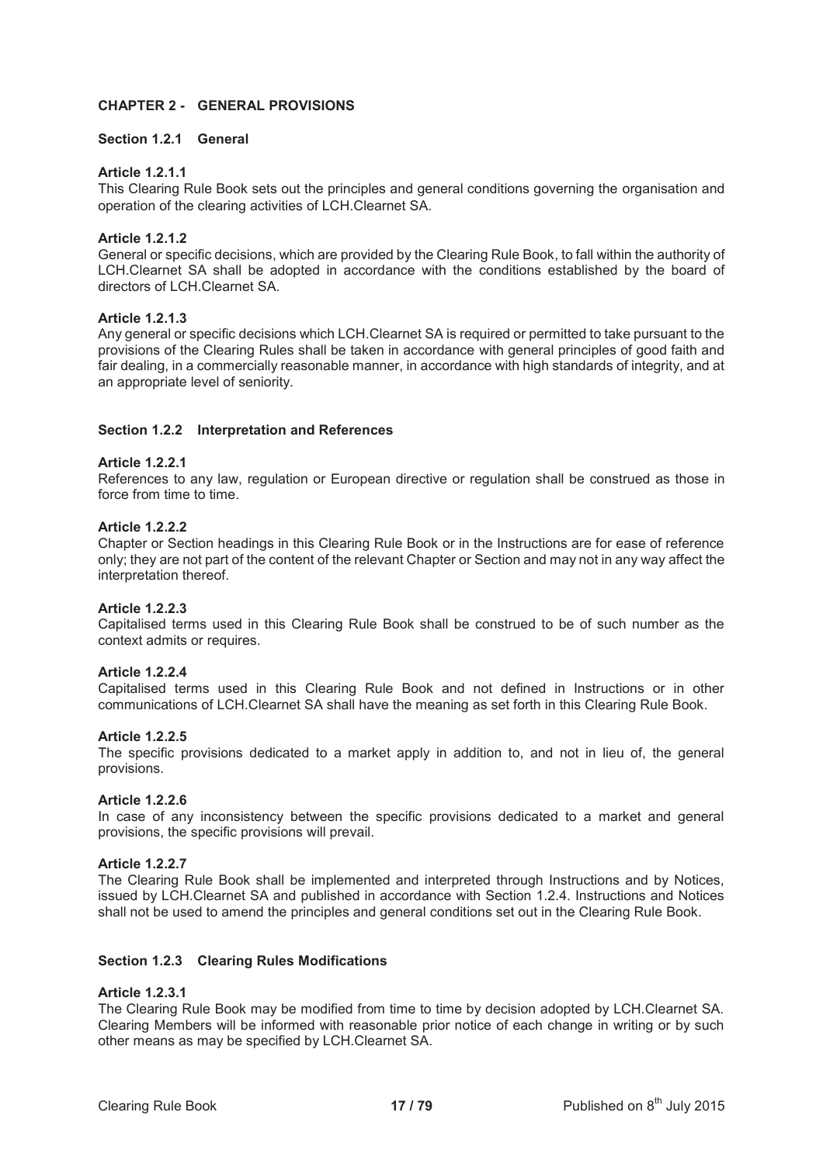## **CHAPTER 2 - GENERAL PROVISIONS**

## **Section 1.2.1 General**

## **Article 1.2.1.1**

This Clearing Rule Book sets out the principles and general conditions governing the organisation and operation of the clearing activities of LCH.Clearnet SA.

## **Article 1.2.1.2**

General or specific decisions, which are provided by the Clearing Rule Book, to fall within the authority of LCH.Clearnet SA shall be adopted in accordance with the conditions established by the board of directors of LCH.Clearnet SA.

## **Article 1.2.1.3**

Any general or specific decisions which LCH.Clearnet SA is required or permitted to take pursuant to the provisions of the Clearing Rules shall be taken in accordance with general principles of good faith and fair dealing, in a commercially reasonable manner, in accordance with high standards of integrity, and at an appropriate level of seniority.

## **Section 1.2.2 Interpretation and References**

## **Article 1.2.2.1**

References to any law, regulation or European directive or regulation shall be construed as those in force from time to time.

### **Article 1.2.2.2**

Chapter or Section headings in this Clearing Rule Book or in the Instructions are for ease of reference only; they are not part of the content of the relevant Chapter or Section and may not in any way affect the interpretation thereof.

### **Article 1.2.2.3**

Capitalised terms used in this Clearing Rule Book shall be construed to be of such number as the context admits or requires.

## **Article 1.2.2.4**

Capitalised terms used in this Clearing Rule Book and not defined in Instructions or in other communications of LCH.Clearnet SA shall have the meaning as set forth in this Clearing Rule Book.

### **Article 1.2.2.5**

The specific provisions dedicated to a market apply in addition to, and not in lieu of, the general provisions.

### **Article 1.2.2.6**

In case of any inconsistency between the specific provisions dedicated to a market and general provisions, the specific provisions will prevail.

### **Article 1.2.2.7**

The Clearing Rule Book shall be implemented and interpreted through Instructions and by Notices, issued by LCH.Clearnet SA and published in accordance with Section 1.2.4. Instructions and Notices shall not be used to amend the principles and general conditions set out in the Clearing Rule Book.

## **Section 1.2.3 Clearing Rules Modifications**

### **Article 1.2.3.1**

The Clearing Rule Book may be modified from time to time by decision adopted by LCH.Clearnet SA. Clearing Members will be informed with reasonable prior notice of each change in writing or by such other means as may be specified by LCH.Clearnet SA.